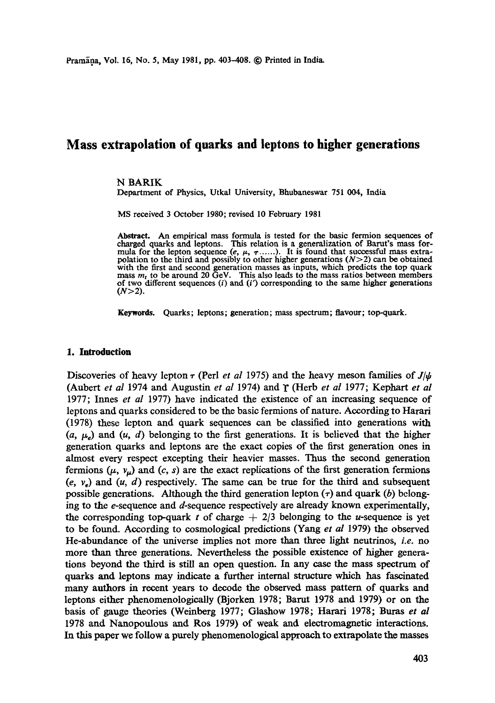# **Mass extrapolation of quarks and leptons to higher generations**

#### N BARIK

Department of Physics, Utkal University, Bhubaneswar 751 004, India

MS received 3 October 1980; revised 10 February 1981

Abstract. An empirical mass formula is tested for the basic fermion sequences of charged quarks and leptons. This relation is a generalization of Barut's mass formula for the lepton sequence  $(e, \mu, \tau, \ldots)$ . It is found that successful mass extrapolation to the third and possibly to other higher generations  $(N>2)$  can be obtained with the first and second generation masses as inputs, which predicts the top quark mass  $m_t$  to be around 20 GeV. This also leads to the mass ratios between members of two different sequences  $(i)$  and  $(i')$  corresponding to the same higher generations  $(N>2)$ .

Keywords. Quarks; leptons; generation; mass spectrum; flavour; top-quark.

### **1. Introduction**

Discoveries of heavy lepton  $\tau$  (Perl *et al* 1975) and the heavy meson families of  $J/\psi$ (Aubert *et al* 1974 and Augustin *et al* 1974) and/" (Herb *et al* 1977; Kephart *et al*  1977; Innes *et al* 1977) have indicated the existence of an increasing sequence of leptons and quarks considered to be the basic fermions of nature. According to Harari (1978) these lepton and quark sequences can be classified into generations with  $(a, \mu_e)$  and  $(u, d)$  belonging to the first generations. It is believed that the higher generation quarks and leptons are the exact copies of the first generation ones in almost every respect excepting their heavier masses. Thus the second generation fermions  $(\mu, v_{\mu})$  and  $(c, s)$  are the exact replications of the first generation fermions  $(e, v<sub>e</sub>)$  and  $(u, d)$  respectively. The same can be true for the third and subsequent possible generations. Although the third generation lepton  $(\tau)$  and quark (b) belonging to the e-sequence and d-sequence respectively are already known experimentally, the corresponding top-quark t of charge  $+ 2/3$  belonging to the u-sequence is yet to be found. According to cosmological predictions (Yang *et al* 1979) the observed He-abundance of the universe implies not more than three light neutrinos, *i.e.* no more than three generations. Nevertheless the possible existence of higher generations beyond the third is still an open question. In any case the mass spectrum of quarks and leptons may indicate a further internal structure which has fascinated many authors in recent years to decode the observed mass pattern of quarks and leptons either phenomenologically (Bjorken 1978; Bamt 1978 and 1979) or on the basis of gauge theories (Weinberg 1977; Glashow 1978; Harari 1978; Buras *et al* 1978 and Nanopoulous and Ros 1979) of weak and electromagnetic interactions. In this paper we follow a purely phenomenological approach to extrapolate the masses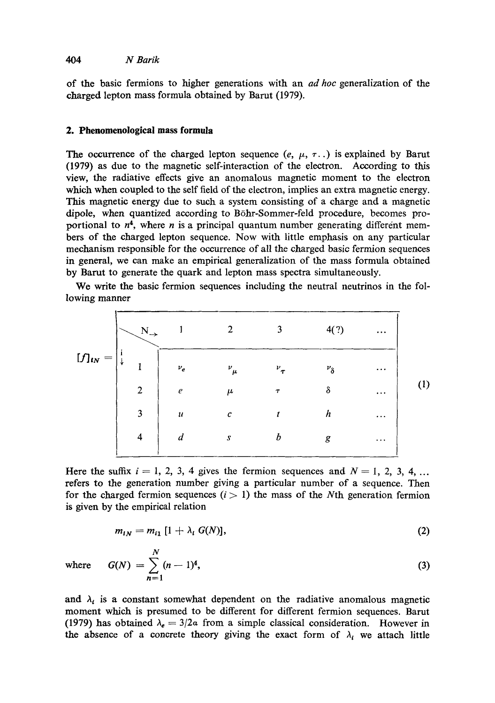# *404 N Barik*

of the basic fermions to higher generations with an *ad hoc* generalization of the charged lepton mass formula obtained by Barut (1979).

## **2. Phenomenologieal mass formula**

The occurrence of the charged lepton sequence  $(e, \mu, \tau, \cdot)$  is explained by Barut (1979) as due to the magnetic self-interaction of the electron. According to this view, the radiative effects give an anomalous magnetic moment to the electron which when coupled to the self field of the electron, implies an extra magnetic energy. This magnetic energy due to such a system consisting of a charge and a magnetic dipole, when quantized according to B6hr-Sommer-feld procedure, becomes proportional to  $n^4$ , where *n* is a principal quantum number generating different members of the charged lepton sequence. Now with little emphasis on any particular mechanism responsible for the occurrence of all the charged basic fermion sequences in general, we can make an empirical generalization of the mass formula obtained by Barut to generate the quark and lepton mass spectra simultaneously.

We write the basic fermion sequences including the neutral neutrinos in the following manner

$$
[f]_{tN} = \begin{bmatrix} N_{+} & 1 & 2 & 3 & 4(?) & \dots \\ \vdots & & & & & \\ \downarrow & 1 & \downarrow & & & & \\ 2 & e & \mu & \tau & \delta & \dots \\ 3 & \mu & c & t & h & \dots \\ 4 & d & s & b & g & \dots \end{bmatrix}
$$
 (1)

Here the suffix  $i = 1, 2, 3, 4$  gives the fermion sequences and  $N = 1, 2, 3, 4, \ldots$ refers to the generation number giving a particular number of a sequence. Then for the charged fermion sequences  $(i > 1)$  the mass of the Nth generation fermion is given by the empirical relation

$$
m_{iN}=m_{i1}\left[1+\lambda_i\;G(N)\right],\qquad \qquad (2)
$$

N

where 
$$
G(N) = \sum_{n=1}^{N} (n-1)^4
$$
, (3)

and  $\lambda_i$  is a constant somewhat dependent on the radiative anomalous magnetic moment which is presumed to be different for different fermion sequences. Barut (1979) has obtained  $\lambda_e = 3/2\alpha$  from a simple classical consideration. However in the absence of a concrete theory giving the exact form of  $\lambda_i$  we attach little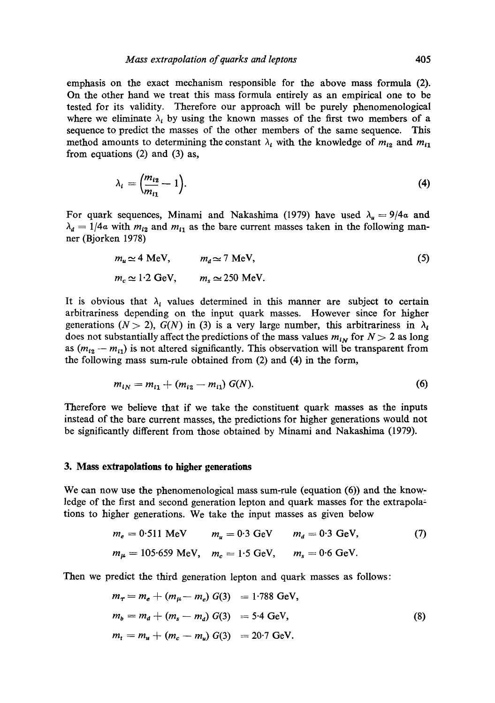emphasis on the exact mechanism responsible for the above mass formula (2). On the other hand we treat this mass formula entirely as an empirical one to be tested for its validity. Therefore our approach will be purely phenomenological where we eliminate  $\lambda_i$  by using the known masses of the first two members of a sequence to predict the masses of the other members of the same sequence. This method amounts to determining the constant  $\lambda_i$  with the knowledge of  $m_{i_2}$  and  $m_{i_1}$ from equations (2) and (3) as,

$$
\lambda_i = \left(\frac{m_{i2}}{m_{i1}} - 1\right). \tag{4}
$$

For quark sequences, Minami and Nakashima (1979) have used  $\lambda_{\mu} = 9/4\alpha$  and  $\lambda_d = 1/4a$  with  $m_{i2}$  and  $m_{i1}$  as the bare current masses taken in the following manner (Bjorken 1978)

$$
m_u \simeq 4 \text{ MeV}, \qquad m_d \simeq 7 \text{ MeV},
$$
  
\n
$$
m_c \simeq 1.2 \text{ GeV}, \qquad m_s \simeq 250 \text{ MeV}.
$$
 (5)

It is obvious that  $\lambda_i$  values determined in this manner are subject to certain arbitrariness depending on the input quark masses. However since for higher generations ( $N > 2$ ),  $G(N)$  in (3) is a very large number, this arbitrariness in  $\lambda_i$ does not substantially affect the predictions of the mass values  $m_{iN}$  for  $N > 2$  as long as  $(m_{12} - m_{11})$  is not altered significantly. This observation will be transparent from the following mass sum-rule obtained from (2) and (4) in the form,

$$
m_{i} = m_{i1} + (m_{i2} - m_{i1}) G(N). \tag{6}
$$

Therefore we believe that if we take the constituent quark masses as the inputs instead of the bare current masses, the predictions for higher generations would not be significantly different from those obtained by Minami and Nakashima (1979).

### **3. Mass extrapolations to higher generations**

We can now use the phenomenological mass sum-rule (equation  $(6)$ ) and the knowledge of the first and second generation lepton and quark masses for the extrapola: tions to higher generations. We take the input masses as given below

$$
m_e = 0.511 \text{ MeV}
$$
  $m_u = 0.3 \text{ GeV}$   $m_d = 0.3 \text{ GeV},$  (7)  
\n $m_\mu = 105.659 \text{ MeV}, m_c = 1.5 \text{ GeV}, m_s = 0.6 \text{ GeV}.$ 

Then we predict the third generation lepton and quark masses as follows:

$$
m_{\tau} = m_e + (m_{\mu} - m_e) G(3) = 1.788 \text{ GeV},
$$
  
\n
$$
m_b = m_a + (m_s - m_a) G(3) = 5.4 \text{ GeV},
$$
  
\n
$$
m_t = m_u + (m_c - m_u) G(3) = 20.7 \text{ GeV}.
$$
  
\n(8)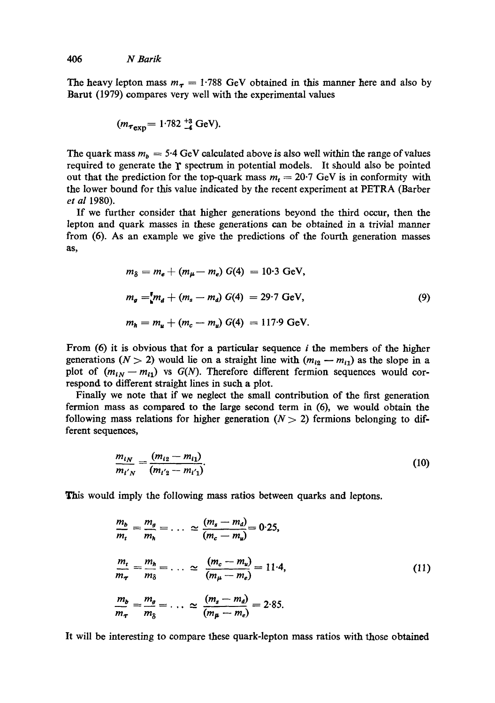The heavy lepton mass  $m_{\tau} = 1.788$  GeV obtained in this manner here and also by Barut (1979) compares very well with the experimental values

$$
(m_{\tau_{\text{exp}}}=1.782^{+3}_{-4} \text{ GeV}).
$$

The quark mass  $m_b = 5.4$  GeV calculated above is also well within the range of values required to generate the  $\gamma$  spectrum in potential models. It should also be pointed out that the prediction for the top-quark mass  $m_t = 20.7$  GeV is in conformity with the lower bound for this value indicated by the recent experiment at PETRA (Barber *et al* 1980).

If we further consider that higher generations beyond the third occur, then the lepton and quark masses in these generations can be obtained in a trivial manner from (6). As an example we give the predictions of the fourth generation masses as,

$$
m_{\delta} = m_e + (m_{\mu} - m_e) G(4) = 10.3 \text{ GeV},
$$
  
\n
$$
m_g = [m_d + (m_s - m_d) G(4) = 29.7 \text{ GeV},
$$
  
\n
$$
m_h = m_u + (m_c - m_u) G(4) = 117.9 \text{ GeV}.
$$
  
\n(9)

From  $(6)$  it is obvious that for a particular sequence i the members of the higher generations ( $N > 2$ ) would lie on a straight line with  $(m_{i2} - m_{i1})$  as the slope in a plot of  $(m_{iN} - m_{i1})$  vs  $G(N)$ . Therefore different fermion sequences would correspond to different straight lines in such a plot.

Finally we note that if we neglect the small contribution of the first generation fermion mass as compared to the large second term in (6), we would obtain the following mass relations for higher generation  $(N > 2)$  fermions belonging to different sequences,

$$
\frac{m_{iN}}{m_{i'N}} = \frac{(m_{i2} - m_{i1})}{(m_{i'2} - m_{i'1})}.
$$
\n(10)

This would imply the following mass ratios between quarks and leptons.

$$
\frac{m_b}{m_t} = \frac{m_g}{m_h} = \dots \approx \frac{(m_s - m_d)}{(m_c - m_u)} = 0.25,
$$
\n
$$
\frac{m_t}{m_\tau} = \frac{m_h}{m_\delta} = \dots \approx \frac{(m_c - m_u)}{(m_\mu - m_e)} = 11.4,
$$
\n
$$
\frac{m_b}{m_\tau} = \frac{m_g}{m_\delta} = \dots \approx \frac{(m_s - m_d)}{(m_\mu - m_e)} = 2.85.
$$
\n(11)

It will be interesting to compare these quark-lepton mass ratios with those obtained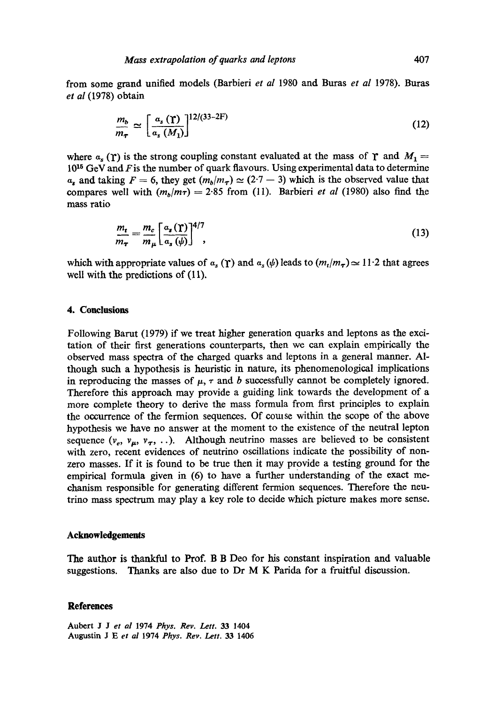from some grand unified models (Barbieri *et al* 1980 and Buras *et al* 1978). Buras *et al* (1978) obtain

$$
\frac{m_b}{m_{\tau}} \simeq \left[\frac{a_s\left(\Upsilon\right)}{a_s\left(M_1\right)}\right]^{12/(33-2F)}\tag{12}
$$

where  $a_s(\Upsilon)$  is the strong coupling constant evaluated at the mass of  $\Upsilon$  and  $M_1 =$  $10^{15}$  GeV and F is the number of quark flavours. Using experimental data to determine  $a_n$  and taking  $F = 6$ , they get  $(m_h/m_\tau) \simeq (2.7 - 3)$  which is the observed value that compares well with  $(m_b/m\tau) = 2.85$  from (11). Barbieri *et al* (1980) also find the mass ratio

$$
\frac{m_t}{m_{\tau}} = \frac{m_c}{m_{\mu}} \left[ \frac{a_s(\Upsilon)}{a_s(\psi)} \right]^{4/7},\tag{13}
$$

which with appropriate values of  $a_s(\gamma)$  and  $a_s(\psi)$  leads to  $(m_t/m_{\tau}) \approx 11.2$  that agrees well with the predictions of  $(11)$ .

# **4. Conclusions**

Following Barut (1979) if we treat higher generation quarks and leptons as the excitation of their first generations counterparts, then we can explain empirically the observed mass spectra of the charged quarks and leptons in a general manner. Although such a hypothesis is heuristic in nature, its phenomenological implications in reproducing the masses of  $\mu$ ,  $\tau$  and b successfully cannot be completely ignored. Therefore this approach may provide a guiding link towards the development of a more complete theory to derive the mass formula from first principles to explain the occurrence of the fermion sequences. Of comse within the scope of the above hypothesis we have no answer at the moment to the existence of the neutral lepton sequence  $(v_e, v_\mu, v_\tau, ...)$ . Although neutrino masses are believed to be consistent with zero, recent evidences of neutrino oscillations indicate the possibility of nonzero masses. If it is found to be true then it may provide a testing ground for the empirical formula given in (6) to have a further understanding of the exact mechanism responsible for generating different fermion sequences. Therefore the neutrino mass spectrum may play a key role to decide which picture makes more sense.

#### **Acknowledgements**

The author is thankful to Prof. B B Dee for his constant inspiration and valuable suggestions. Thanks are also due to Dr M K Parida for a fruitful discussion.

# **References**

Aubert J Jet *al* 1974 *Phys. Rev. Lett.* 33 1404 Augustin J E *et ai* 1974 *Phys. Rev. Lett.* 33 1406